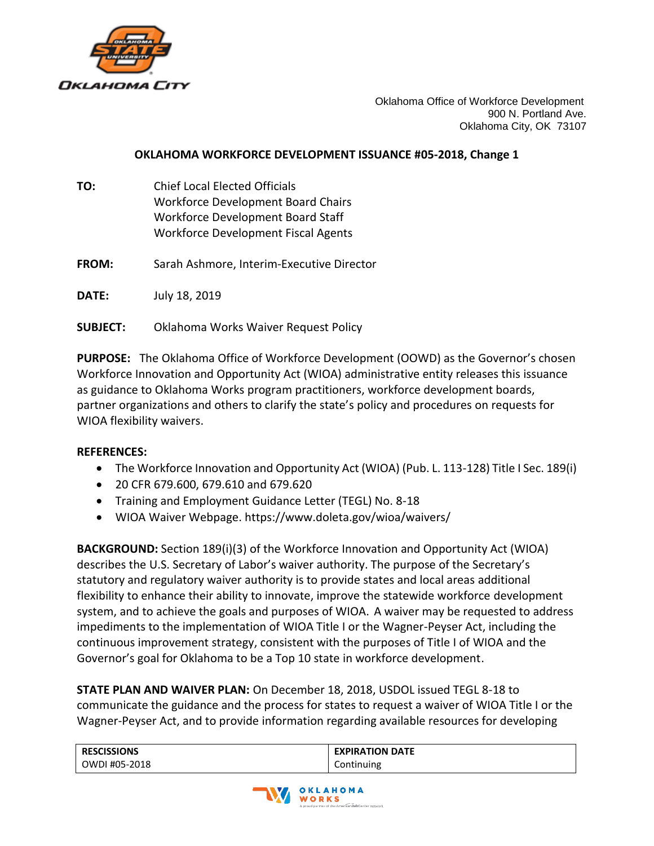

Oklahoma Office of Workforce Development 900 N. Portland Ave. Oklahoma City, OK 73107

## **OKLAHOMA WORKFORCE DEVELOPMENT ISSUANCE #05-2018, Change 1**

- **TO:** Chief Local Elected Officials Workforce Development Board Chairs Workforce Development Board Staff Workforce Development Fiscal Agents
- **FROM:** Sarah Ashmore, Interim-Executive Director

**DATE:** July 18, 2019

**SUBJECT:** Oklahoma Works Waiver Request Policy

**PURPOSE:** The Oklahoma Office of Workforce Development (OOWD) as the Governor's chosen Workforce Innovation and Opportunity Act (WIOA) administrative entity releases this issuance as guidance to Oklahoma Works program practitioners, workforce development boards, partner organizations and others to clarify the state's policy and procedures on requests for WIOA flexibility waivers.

## **REFERENCES:**

- The Workforce Innovation and Opportunity Act (WIOA) (Pub. L. 113-128) Title I Sec. 189(i)
- 20 CFR 679.600, 679.610 and 679.620
- Training and Employment Guidance Letter (TEGL) No. 8-18
- WIOA Waiver Webpage. https://www.doleta.gov/wioa/waivers/

**BACKGROUND:** Section 189(i)(3) of the Workforce Innovation and Opportunity Act (WIOA) describes the U.S. Secretary of Labor's waiver authority. The purpose of the Secretary's statutory and regulatory waiver authority is to provide states and local areas additional flexibility to enhance their ability to innovate, improve the statewide workforce development system, and to achieve the goals and purposes of WIOA. A waiver may be requested to address impediments to the implementation of WIOA Title I or the Wagner-Peyser Act, including the continuous improvement strategy, consistent with the purposes of Title I of WIOA and the Governor's goal for Oklahoma to be a Top 10 state in workforce development.

**STATE PLAN AND WAIVER PLAN:** On December 18, 2018, USDOL issued TEGL 8-18 to communicate the guidance and the process for states to request a waiver of WIOA Title I or the Wagner-Peyser Act, and to provide information regarding available resources for developing

| <b>RESCISSIONS</b> | <b>EXPIRATION DATE</b> |
|--------------------|------------------------|
| OWDI #05-2018      | Continuing             |

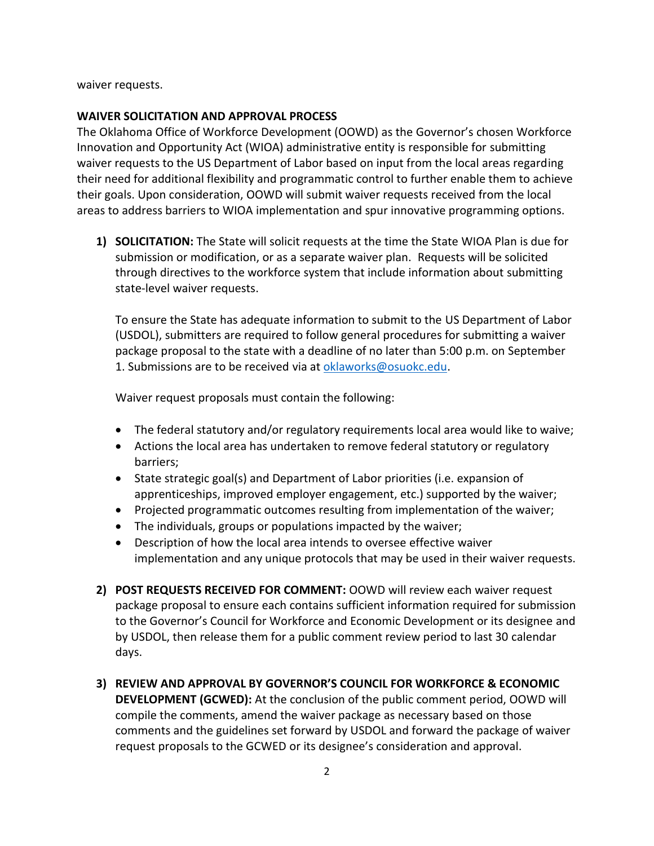waiver requests.

## **WAIVER SOLICITATION AND APPROVAL PROCESS**

The Oklahoma Office of Workforce Development (OOWD) as the Governor's chosen Workforce Innovation and Opportunity Act (WIOA) administrative entity is responsible for submitting waiver requests to the US Department of Labor based on input from the local areas regarding their need for additional flexibility and programmatic control to further enable them to achieve their goals. Upon consideration, OOWD will submit waiver requests received from the local areas to address barriers to WIOA implementation and spur innovative programming options.

**1) SOLICITATION:** The State will solicit requests at the time the State WIOA Plan is due for submission or modification, or as a separate waiver plan. Requests will be solicited through directives to the workforce system that include information about submitting state-level waiver requests.

To ensure the State has adequate information to submit to the US Department of Labor (USDOL), submitters are required to follow general procedures for submitting a waiver package proposal to the state with a deadline of no later than 5:00 p.m. on September 1. Submissions are to be received via a[t oklaworks@osuokc.edu.](mailto:oklaworks@osuokc.edu)

Waiver request proposals must contain the following:

- The federal statutory and/or regulatory requirements local area would like to waive;
- Actions the local area has undertaken to remove federal statutory or regulatory barriers;
- State strategic goal(s) and Department of Labor priorities (i.e. expansion of apprenticeships, improved employer engagement, etc.) supported by the waiver;
- Projected programmatic outcomes resulting from implementation of the waiver;
- The individuals, groups or populations impacted by the waiver;
- Description of how the local area intends to oversee effective waiver implementation and any unique protocols that may be used in their waiver requests.
- **2) POST REQUESTS RECEIVED FOR COMMENT:** OOWD will review each waiver request package proposal to ensure each contains sufficient information required for submission to the Governor's Council for Workforce and Economic Development or its designee and by USDOL, then release them for a public comment review period to last 30 calendar days.
- **3) REVIEW AND APPROVAL BY GOVERNOR'S COUNCIL FOR WORKFORCE & ECONOMIC DEVELOPMENT (GCWED):** At the conclusion of the public comment period, OOWD will compile the comments, amend the waiver package as necessary based on those comments and the guidelines set forward by USDOL and forward the package of waiver request proposals to the GCWED or its designee's consideration and approval.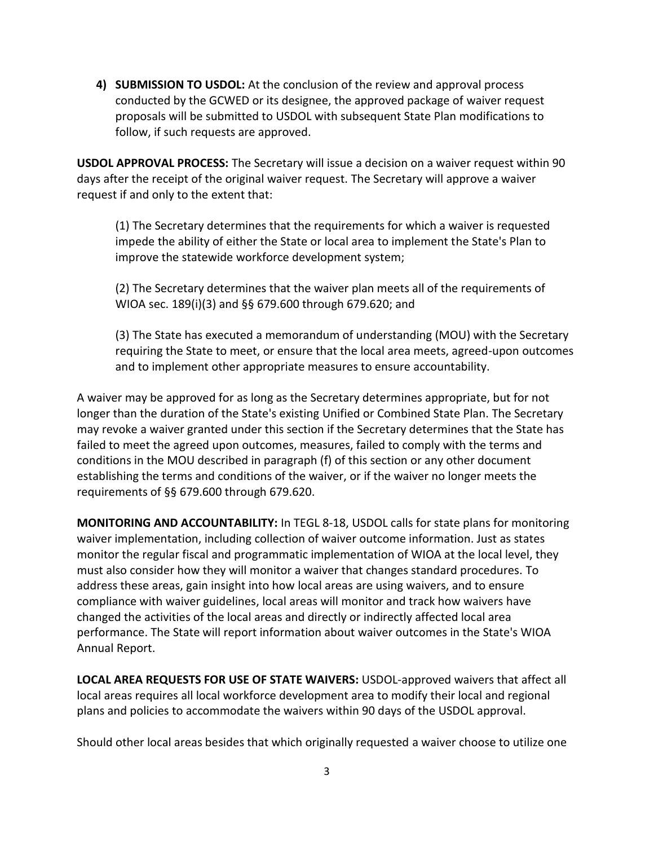**4) SUBMISSION TO USDOL:** At the conclusion of the review and approval process conducted by the GCWED or its designee, the approved package of waiver request proposals will be submitted to USDOL with subsequent State Plan modifications to follow, if such requests are approved.

**USDOL APPROVAL PROCESS:** The Secretary will issue a decision on a waiver request within 90 days after the receipt of the original waiver request. The Secretary will approve a waiver request if and only to the extent that:

(1) The Secretary determines that the requirements for which a waiver is requested impede the ability of either the State or local area to implement the State's Plan to improve the statewide workforce development system;

(2) The Secretary determines that the waiver plan meets all of the requirements of WIOA sec. 189(i)(3) and §§ 679.600 through 679.620; and

(3) The State has executed a memorandum of understanding (MOU) with the Secretary requiring the State to meet, or ensure that the local area meets, agreed-upon outcomes and to implement other appropriate measures to ensure accountability.

A waiver may be approved for as long as the Secretary determines appropriate, but for not longer than the duration of the State's existing Unified or Combined State Plan. The Secretary may revoke a waiver granted under this section if the Secretary determines that the State has failed to meet the agreed upon outcomes, measures, failed to comply with the terms and conditions in the MOU described in paragraph (f) of this section or any other document establishing the terms and conditions of the waiver, or if the waiver no longer meets the requirements of §§ 679.600 through 679.620.

**MONITORING AND ACCOUNTABILITY:** In TEGL 8-18, USDOL calls for state plans for monitoring waiver implementation, including collection of waiver outcome information. Just as states monitor the regular fiscal and programmatic implementation of WIOA at the local level, they must also consider how they will monitor a waiver that changes standard procedures. To address these areas, gain insight into how local areas are using waivers, and to ensure compliance with waiver guidelines, local areas will monitor and track how waivers have changed the activities of the local areas and directly or indirectly affected local area performance. The State will report information about waiver outcomes in the State's WIOA Annual Report.

**LOCAL AREA REQUESTS FOR USE OF STATE WAIVERS:** USDOL-approved waivers that affect all local areas requires all local workforce development area to modify their local and regional plans and policies to accommodate the waivers within 90 days of the USDOL approval.

Should other local areas besides that which originally requested a waiver choose to utilize one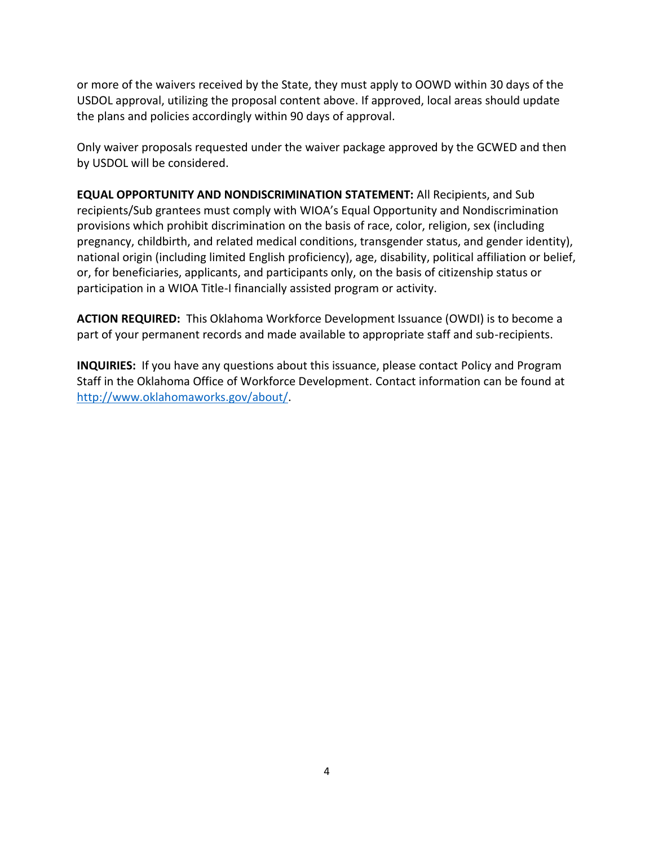or more of the waivers received by the State, they must apply to OOWD within 30 days of the USDOL approval, utilizing the proposal content above. If approved, local areas should update the plans and policies accordingly within 90 days of approval.

Only waiver proposals requested under the waiver package approved by the GCWED and then by USDOL will be considered.

**EQUAL OPPORTUNITY AND NONDISCRIMINATION STATEMENT:** All Recipients, and Sub recipients/Sub grantees must comply with WIOA's Equal Opportunity and Nondiscrimination provisions which prohibit discrimination on the basis of race, color, religion, sex (including pregnancy, childbirth, and related medical conditions, transgender status, and gender identity), national origin (including limited English proficiency), age, disability, political affiliation or belief, or, for beneficiaries, applicants, and participants only, on the basis of citizenship status or participation in a WIOA Title-I financially assisted program or activity.

**ACTION REQUIRED:** This Oklahoma Workforce Development Issuance (OWDI) is to become a part of your permanent records and made available to appropriate staff and sub-recipients.

**INQUIRIES:** If you have any questions about this issuance, please contact Policy and Program Staff in the Oklahoma Office of Workforce Development. Contact information can be found at [http://www.oklahomaworks.gov/about/.](http://www.oklahomaworks.gov/about/)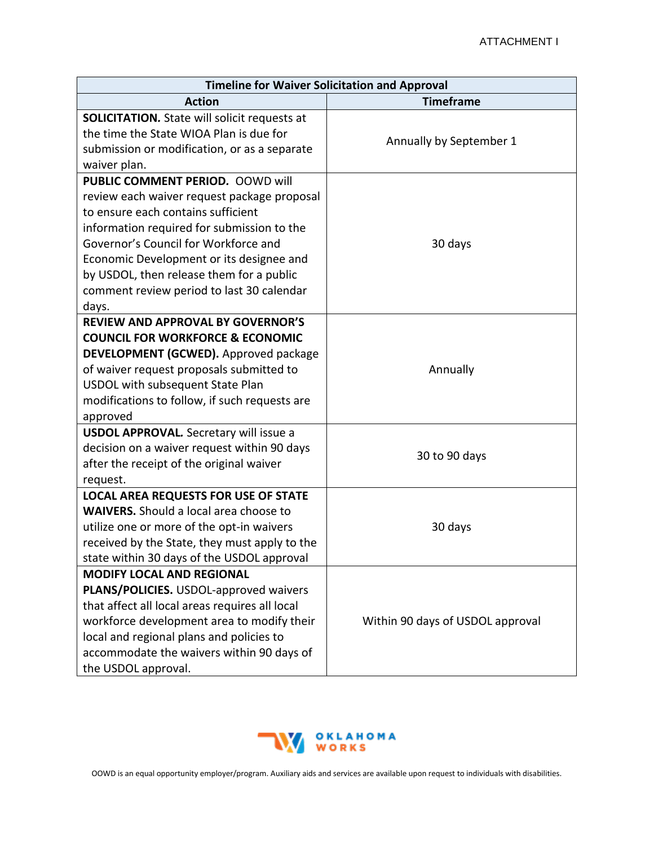| <b>Timeline for Waiver Solicitation and Approval</b>                                                                                                                                                                                                                                       |                                  |  |
|--------------------------------------------------------------------------------------------------------------------------------------------------------------------------------------------------------------------------------------------------------------------------------------------|----------------------------------|--|
| <b>Action</b>                                                                                                                                                                                                                                                                              | <b>Timeframe</b>                 |  |
| <b>SOLICITATION.</b> State will solicit requests at<br>the time the State WIOA Plan is due for<br>submission or modification, or as a separate                                                                                                                                             | Annually by September 1          |  |
| waiver plan.                                                                                                                                                                                                                                                                               |                                  |  |
| <b>PUBLIC COMMENT PERIOD. OOWD will</b><br>review each waiver request package proposal<br>to ensure each contains sufficient<br>information required for submission to the<br>Governor's Council for Workforce and                                                                         | 30 days                          |  |
| Economic Development or its designee and<br>by USDOL, then release them for a public<br>comment review period to last 30 calendar<br>days.                                                                                                                                                 |                                  |  |
| <b>REVIEW AND APPROVAL BY GOVERNOR'S</b><br><b>COUNCIL FOR WORKFORCE &amp; ECONOMIC</b><br>DEVELOPMENT (GCWED). Approved package<br>of waiver request proposals submitted to<br>USDOL with subsequent State Plan<br>modifications to follow, if such requests are<br>approved              | Annually                         |  |
| <b>USDOL APPROVAL.</b> Secretary will issue a<br>decision on a waiver request within 90 days<br>after the receipt of the original waiver<br>request.                                                                                                                                       | 30 to 90 days                    |  |
| <b>LOCAL AREA REQUESTS FOR USE OF STATE</b><br><b>WAIVERS.</b> Should a local area choose to<br>utilize one or more of the opt-in waivers<br>received by the State, they must apply to the<br>state within 30 days of the USDOL approval                                                   | 30 days                          |  |
| <b>MODIFY LOCAL AND REGIONAL</b><br>PLANS/POLICIES. USDOL-approved waivers<br>that affect all local areas requires all local<br>workforce development area to modify their<br>local and regional plans and policies to<br>accommodate the waivers within 90 days of<br>the USDOL approval. | Within 90 days of USDOL approval |  |



OOWD is an equal opportunity employer/program. Auxiliary aids and services are available upon request to individuals with disabilities.